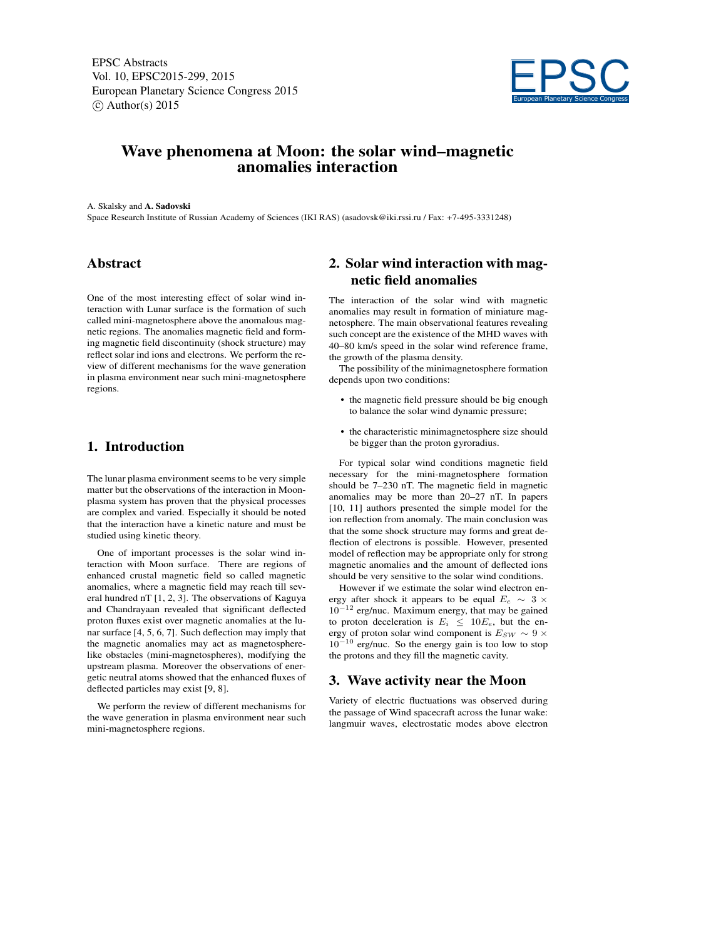EPSC Abstracts Vol. 10, EPSC2015-299, 2015 European Planetary Science Congress 2015  $\circ$  Author(s) 2015



# Wave phenomena at Moon: the solar wind–magnetic anomalies interaction

A. Skalsky and A. Sadovski

Space Research Institute of Russian Academy of Sciences (IKI RAS) (asadovsk@iki.rssi.ru / Fax: +7-495-3331248)

## Abstract

One of the most interesting effect of solar wind interaction with Lunar surface is the formation of such called mini-magnetosphere above the anomalous magnetic regions. The anomalies magnetic field and forming magnetic field discontinuity (shock structure) may reflect solar ind ions and electrons. We perform the review of different mechanisms for the wave generation in plasma environment near such mini-magnetosphere regions.

## 1. Introduction

The lunar plasma environment seems to be very simple matter but the observations of the interaction in Moonplasma system has proven that the physical processes are complex and varied. Especially it should be noted that the interaction have a kinetic nature and must be studied using kinetic theory.

One of important processes is the solar wind interaction with Moon surface. There are regions of enhanced crustal magnetic field so called magnetic anomalies, where a magnetic field may reach till several hundred nT [1, 2, 3]. The observations of Kaguya and Chandrayaan revealed that significant deflected proton fluxes exist over magnetic anomalies at the lunar surface [4, 5, 6, 7]. Such deflection may imply that the magnetic anomalies may act as magnetospherelike obstacles (mini-magnetospheres), modifying the upstream plasma. Moreover the observations of energetic neutral atoms showed that the enhanced fluxes of deflected particles may exist [9, 8].

We perform the review of different mechanisms for the wave generation in plasma environment near such mini-magnetosphere regions.

## 2. Solar wind interaction with magnetic field anomalies

The interaction of the solar wind with magnetic anomalies may result in formation of miniature magnetosphere. The main observational features revealing such concept are the existence of the MHD waves with 40–80 km/s speed in the solar wind reference frame, the growth of the plasma density.

The possibility of the minimagnetosphere formation depends upon two conditions:

- the magnetic field pressure should be big enough to balance the solar wind dynamic pressure;
- the characteristic minimagnetosphere size should be bigger than the proton gyroradius.

For typical solar wind conditions magnetic field necessary for the mini-magnetosphere formation should be 7–230 nT. The magnetic field in magnetic anomalies may be more than 20–27 nT. In papers [10, 11] authors presented the simple model for the ion reflection from anomaly. The main conclusion was that the some shock structure may forms and great deflection of electrons is possible. However, presented model of reflection may be appropriate only for strong magnetic anomalies and the amount of deflected ions should be very sensitive to the solar wind conditions.

However if we estimate the solar wind electron energy after shock it appears to be equal  $E_e \sim 3 \times$ 10−<sup>12</sup> erg/nuc. Maximum energy, that may be gained to proton deceleration is  $E_i \leq 10E_e$ , but the energy of proton solar wind component is  $E_{SW} \sim 9 \times$  $10^{-10}$  erg/nuc. So the energy gain is too low to stop the protons and they fill the magnetic cavity.

#### 3. Wave activity near the Moon

Variety of electric fluctuations was observed during the passage of Wind spacecraft across the lunar wake: langmuir waves, electrostatic modes above electron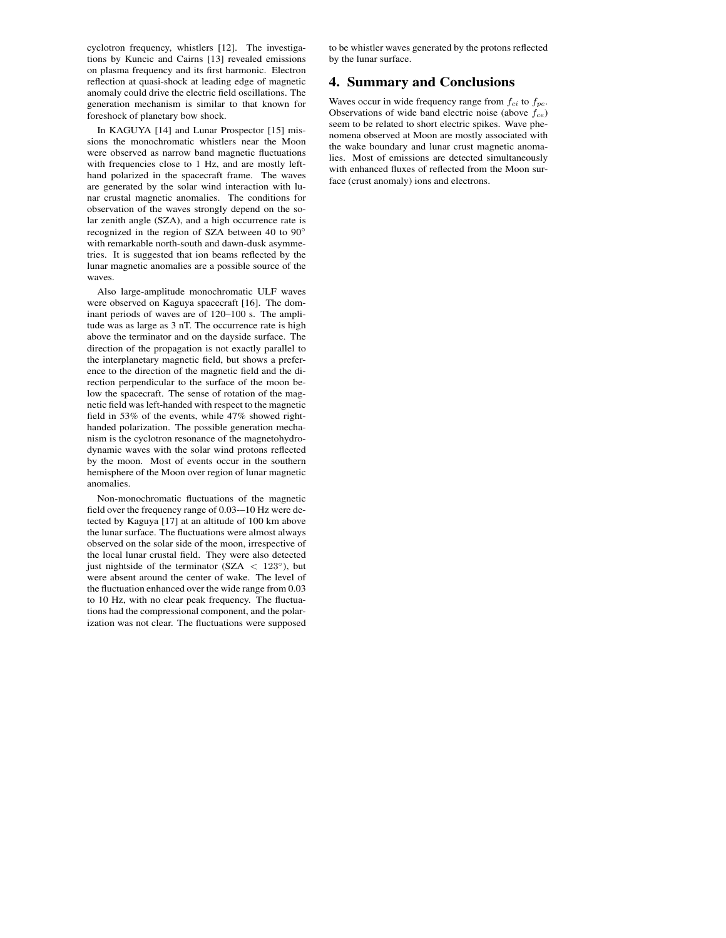cyclotron frequency, whistlers [12]. The investigations by Kuncic and Cairns [13] revealed emissions on plasma frequency and its first harmonic. Electron reflection at quasi-shock at leading edge of magnetic anomaly could drive the electric field oscillations. The generation mechanism is similar to that known for foreshock of planetary bow shock.

In KAGUYA [14] and Lunar Prospector [15] missions the monochromatic whistlers near the Moon were observed as narrow band magnetic fluctuations with frequencies close to 1 Hz, and are mostly lefthand polarized in the spacecraft frame. The waves are generated by the solar wind interaction with lunar crustal magnetic anomalies. The conditions for observation of the waves strongly depend on the solar zenith angle (SZA), and a high occurrence rate is recognized in the region of SZA between 40 to 90◦ with remarkable north-south and dawn-dusk asymmetries. It is suggested that ion beams reflected by the lunar magnetic anomalies are a possible source of the waves.

Also large-amplitude monochromatic ULF waves were observed on Kaguya spacecraft [16]. The dominant periods of waves are of 120–100 s. The amplitude was as large as 3 nT. The occurrence rate is high above the terminator and on the dayside surface. The direction of the propagation is not exactly parallel to the interplanetary magnetic field, but shows a preference to the direction of the magnetic field and the direction perpendicular to the surface of the moon below the spacecraft. The sense of rotation of the magnetic field was left-handed with respect to the magnetic field in 53% of the events, while 47% showed righthanded polarization. The possible generation mechanism is the cyclotron resonance of the magnetohydrodynamic waves with the solar wind protons reflected by the moon. Most of events occur in the southern hemisphere of the Moon over region of lunar magnetic anomalies.

Non-monochromatic fluctuations of the magnetic field over the frequency range of 0.03-–10 Hz were detected by Kaguya [17] at an altitude of 100 km above the lunar surface. The fluctuations were almost always observed on the solar side of the moon, irrespective of the local lunar crustal field. They were also detected just nightside of the terminator ( $SZA < 123^\circ$ ), but were absent around the center of wake. The level of the fluctuation enhanced over the wide range from 0.03 to 10 Hz, with no clear peak frequency. The fluctuations had the compressional component, and the polarization was not clear. The fluctuations were supposed

to be whistler waves generated by the protons reflected by the lunar surface.

## 4. Summary and Conclusions

Waves occur in wide frequency range from  $f_{ci}$  to  $f_{pe}$ . Observations of wide band electric noise (above  $f_{ce}$ ) seem to be related to short electric spikes. Wave phenomena observed at Moon are mostly associated with the wake boundary and lunar crust magnetic anomalies. Most of emissions are detected simultaneously with enhanced fluxes of reflected from the Moon surface (crust anomaly) ions and electrons.